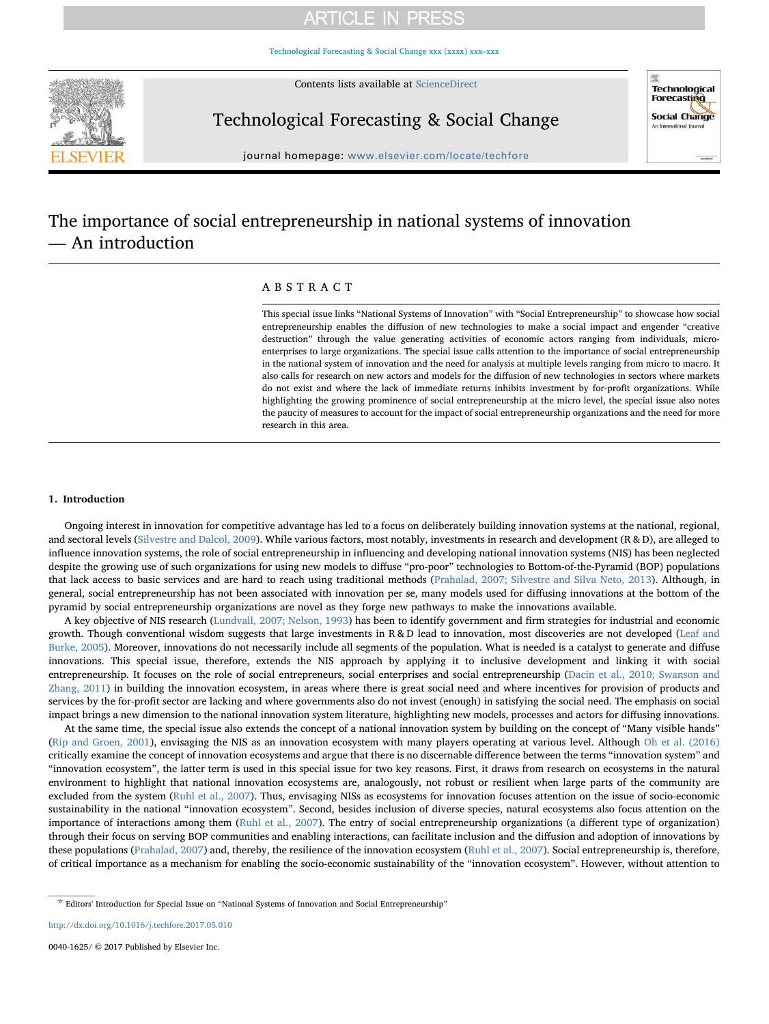## **ARTICLE IN PRESS**

[Technological Forecasting & Social Change xxx \(xxxx\) xxx–xxx](http://dx.doi.org/10.1016/j.techfore.2017.05.010)

Contents lists available at [ScienceDirect](http://www.sciencedirect.com/science/journal/00401625)



**Technological** Forecasting **Social Change** 

Technological Forecasting & Social Change

journal homepage: [www.elsevier.com/locate/techfore](http://www.elsevier.com/locate/techfore)

# The importance of social entrepreneurship in national systems of innovation — An introduction

### ABSTRACT

This special issue links "National Systems of Innovation" with "Social Entrepreneurship" to showcase how social entrepreneurship enables the diffusion of new technologies to make a social impact and engender "creative destruction" through the value generating activities of economic actors ranging from individuals, microenterprises to large organizations. The special issue calls attention to the importance of social entrepreneurship in the national system of innovation and the need for analysis at multiple levels ranging from micro to macro. It also calls for research on new actors and models for the diffusion of new technologies in sectors where markets do not exist and where the lack of immediate returns inhibits investment by for-profit organizations. While highlighting the growing prominence of social entrepreneurship at the micro level, the special issue also notes the paucity of measures to account for the impact of social entrepreneurship organizations and the need for more research in this area.

#### 1. Introduction

Ongoing interest in innovation for competitive advantage has led to a focus on deliberately building innovation systems at the national, regional, and sectoral levels ([Silvestre and Dalcol, 2009](#page-2-0)). While various factors, most notably, investments in research and development (R & D), are alleged to influence innovation systems, the role of social entrepreneurship in influencing and developing national innovation systems (NIS) has been neglected despite the growing use of such organizations for using new models to diffuse "pro-poor" technologies to Bottom-of-the-Pyramid (BOP) populations that lack access to basic services and are hard to reach using traditional methods ([Prahalad, 2007; Silvestre and Silva Neto, 2013\)](#page-2-1). Although, in general, social entrepreneurship has not been associated with innovation per se, many models used for diffusing innovations at the bottom of the pyramid by social entrepreneurship organizations are novel as they forge new pathways to make the innovations available.

A key objective of NIS research ([Lundvall, 2007; Nelson, 1993\)](#page-2-2) has been to identify government and firm strategies for industrial and economic growth. Though conventional wisdom suggests that large investments in R & D lead to innovation, most discoveries are not developed ([Leaf and](#page-2-3) [Burke, 2005\)](#page-2-3). Moreover, innovations do not necessarily include all segments of the population. What is needed is a catalyst to generate and diffuse innovations. This special issue, therefore, extends the NIS approach by applying it to inclusive development and linking it with social entrepreneurship. It focuses on the role of social entrepreneurs, social enterprises and social entrepreneurship [\(Dacin et al., 2010; Swanson and](#page-2-4) [Zhang, 2011](#page-2-4)) in building the innovation ecosystem, in areas where there is great social need and where incentives for provision of products and services by the for-profit sector are lacking and where governments also do not invest (enough) in satisfying the social need. The emphasis on social impact brings a new dimension to the national innovation system literature, highlighting new models, processes and actors for diffusing innovations.

At the same time, the special issue also extends the concept of a national innovation system by building on the concept of "Many visible hands" ([Rip and Groen, 2001](#page-2-5)), envisaging the NIS as an innovation ecosystem with many players operating at various level. Although [Oh et al. \(2016\)](#page-2-6) critically examine the concept of innovation ecosystems and argue that there is no discernable difference between the terms "innovation system" and "innovation ecosystem", the latter term is used in this special issue for two key reasons. First, it draws from research on ecosystems in the natural environment to highlight that national innovation ecosystems are, analogously, not robust or resilient when large parts of the community are excluded from the system [\(Ruhl et al., 2007](#page-2-7)). Thus, envisaging NISs as ecosystems for innovation focuses attention on the issue of socio-economic sustainability in the national "innovation ecosystem". Second, besides inclusion of diverse species, natural ecosystems also focus attention on the importance of interactions among them ([Ruhl et al., 2007\)](#page-2-7). The entry of social entrepreneurship organizations (a different type of organization) through their focus on serving BOP communities and enabling interactions, can facilitate inclusion and the diffusion and adoption of innovations by these populations [\(Prahalad, 2007\)](#page-2-1) and, thereby, the resilience of the innovation ecosystem ([Ruhl et al., 2007\)](#page-2-7). Social entrepreneurship is, therefore, of critical importance as a mechanism for enabling the socio-economic sustainability of the "innovation ecosystem". However, without attention to

<http://dx.doi.org/10.1016/j.techfore.2017.05.010>

<sup>☆</sup> Editors' Introduction for Special Issue on "National Systems of Innovation and Social Entrepreneurship"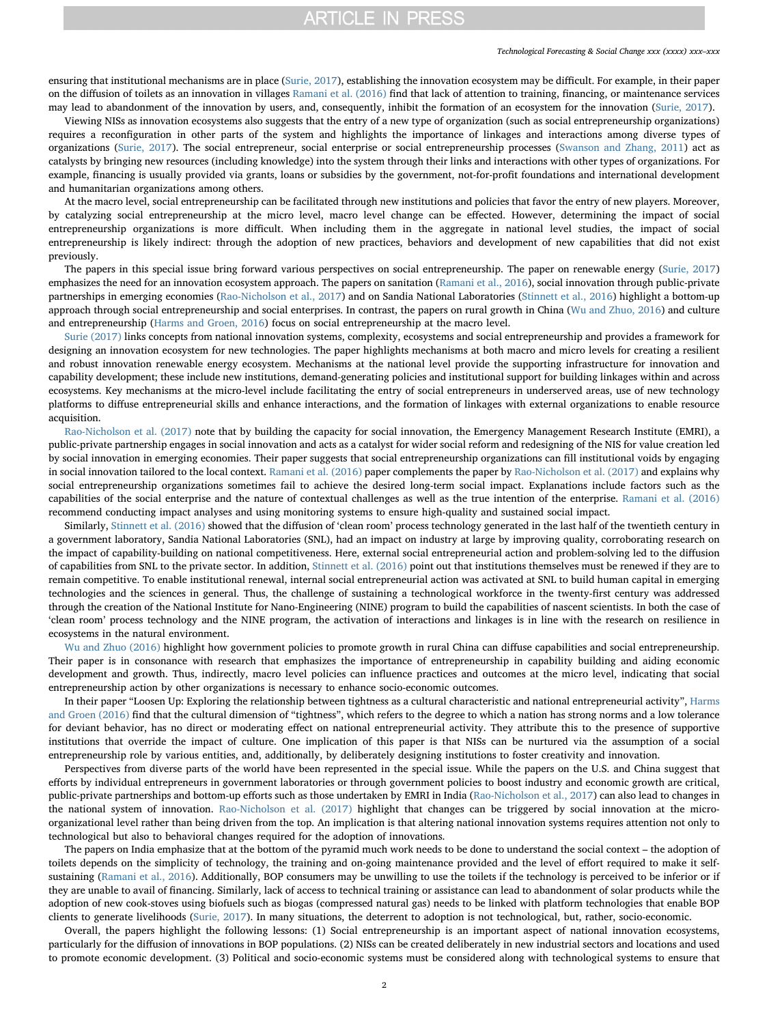## **ARTICLE IN PRESS**

#### *Technological Forecasting & Social Change xxx (xxxx) xxx–xxx*

ensuring that institutional mechanisms are in place [\(Surie, 2017](#page-2-8)), establishing the innovation ecosystem may be difficult. For example, in their paper on the diffusion of toilets as an innovation in villages [Ramani et al. \(2016\)](#page-2-9) find that lack of attention to training, financing, or maintenance services may lead to abandonment of the innovation by users, and, consequently, inhibit the formation of an ecosystem for the innovation ([Surie, 2017\)](#page-2-8).

Viewing NISs as innovation ecosystems also suggests that the entry of a new type of organization (such as social entrepreneurship organizations) requires a reconfiguration in other parts of the system and highlights the importance of linkages and interactions among diverse types of organizations ([Surie, 2017](#page-2-8)). The social entrepreneur, social enterprise or social entrepreneurship processes ([Swanson and Zhang, 2011](#page-2-10)) act as catalysts by bringing new resources (including knowledge) into the system through their links and interactions with other types of organizations. For example, financing is usually provided via grants, loans or subsidies by the government, not-for-profit foundations and international development and humanitarian organizations among others.

At the macro level, social entrepreneurship can be facilitated through new institutions and policies that favor the entry of new players. Moreover, by catalyzing social entrepreneurship at the micro level, macro level change can be effected. However, determining the impact of social entrepreneurship organizations is more difficult. When including them in the aggregate in national level studies, the impact of social entrepreneurship is likely indirect: through the adoption of new practices, behaviors and development of new capabilities that did not exist previously.

The papers in this special issue bring forward various perspectives on social entrepreneurship. The paper on renewable energy [\(Surie, 2017\)](#page-2-8) emphasizes the need for an innovation ecosystem approach. The papers on sanitation [\(Ramani et al., 2016\)](#page-2-9), social innovation through public-private partnerships in emerging economies ([Rao-Nicholson et al., 2017\)](#page-2-11) and on Sandia National Laboratories ([Stinnett et al., 2016\)](#page-2-12) highlight a bottom-up approach through social entrepreneurship and social enterprises. In contrast, the papers on rural growth in China [\(Wu and Zhuo, 2016](#page-2-13)) and culture and entrepreneurship [\(Harms and Groen, 2016](#page-2-14)) focus on social entrepreneurship at the macro level.

[Surie \(2017\)](#page-2-8) links concepts from national innovation systems, complexity, ecosystems and social entrepreneurship and provides a framework for designing an innovation ecosystem for new technologies. The paper highlights mechanisms at both macro and micro levels for creating a resilient and robust innovation renewable energy ecosystem. Mechanisms at the national level provide the supporting infrastructure for innovation and capability development; these include new institutions, demand-generating policies and institutional support for building linkages within and across ecosystems. Key mechanisms at the micro-level include facilitating the entry of social entrepreneurs in underserved areas, use of new technology platforms to diffuse entrepreneurial skills and enhance interactions, and the formation of linkages with external organizations to enable resource acquisition.

[Rao-Nicholson et al. \(2017\)](#page-2-11) note that by building the capacity for social innovation, the Emergency Management Research Institute (EMRI), a public-private partnership engages in social innovation and acts as a catalyst for wider social reform and redesigning of the NIS for value creation led by social innovation in emerging economies. Their paper suggests that social entrepreneurship organizations can fill institutional voids by engaging in social innovation tailored to the local context. [Ramani et al. \(2016\)](#page-2-9) paper complements the paper by [Rao-Nicholson et al. \(2017\)](#page-2-11) and explains why social entrepreneurship organizations sometimes fail to achieve the desired long-term social impact. Explanations include factors such as the capabilities of the social enterprise and the nature of contextual challenges as well as the true intention of the enterprise. [Ramani et al. \(2016\)](#page-2-9) recommend conducting impact analyses and using monitoring systems to ensure high-quality and sustained social impact.

Similarly, [Stinnett et al. \(2016\)](#page-2-12) showed that the diffusion of 'clean room' process technology generated in the last half of the twentieth century in a government laboratory, Sandia National Laboratories (SNL), had an impact on industry at large by improving quality, corroborating research on the impact of capability-building on national competitiveness. Here, external social entrepreneurial action and problem-solving led to the diffusion of capabilities from SNL to the private sector. In addition, [Stinnett et al. \(2016\)](#page-2-12) point out that institutions themselves must be renewed if they are to remain competitive. To enable institutional renewal, internal social entrepreneurial action was activated at SNL to build human capital in emerging technologies and the sciences in general. Thus, the challenge of sustaining a technological workforce in the twenty-first century was addressed through the creation of the National Institute for Nano-Engineering (NINE) program to build the capabilities of nascent scientists. In both the case of 'clean room' process technology and the NINE program, the activation of interactions and linkages is in line with the research on resilience in ecosystems in the natural environment.

[Wu and Zhuo \(2016\)](#page-2-13) highlight how government policies to promote growth in rural China can diffuse capabilities and social entrepreneurship. Their paper is in consonance with research that emphasizes the importance of entrepreneurship in capability building and aiding economic development and growth. Thus, indirectly, macro level policies can influence practices and outcomes at the micro level, indicating that social entrepreneurship action by other organizations is necessary to enhance socio-economic outcomes.

In their paper "Loosen Up: Exploring the relationship between tightness as a cultural characteristic and national entrepreneurial activity", [Harms](#page-2-14) [and Groen \(2016\)](#page-2-14) find that the cultural dimension of "tightness", which refers to the degree to which a nation has strong norms and a low tolerance for deviant behavior, has no direct or moderating effect on national entrepreneurial activity. They attribute this to the presence of supportive institutions that override the impact of culture. One implication of this paper is that NISs can be nurtured via the assumption of a social entrepreneurship role by various entities, and, additionally, by deliberately designing institutions to foster creativity and innovation.

Perspectives from diverse parts of the world have been represented in the special issue. While the papers on the U.S. and China suggest that efforts by individual entrepreneurs in government laboratories or through government policies to boost industry and economic growth are critical, public-private partnerships and bottom-up efforts such as those undertaken by EMRI in India ([Rao-Nicholson et al., 2017\)](#page-2-11) can also lead to changes in the national system of innovation. [Rao-Nicholson et al. \(2017\)](#page-2-11) highlight that changes can be triggered by social innovation at the microorganizational level rather than being driven from the top. An implication is that altering national innovation systems requires attention not only to technological but also to behavioral changes required for the adoption of innovations.

The papers on India emphasize that at the bottom of the pyramid much work needs to be done to understand the social context – the adoption of toilets depends on the simplicity of technology, the training and on-going maintenance provided and the level of effort required to make it selfsustaining ([Ramani et al., 2016](#page-2-9)). Additionally, BOP consumers may be unwilling to use the toilets if the technology is perceived to be inferior or if they are unable to avail of financing. Similarly, lack of access to technical training or assistance can lead to abandonment of solar products while the adoption of new cook-stoves using biofuels such as biogas (compressed natural gas) needs to be linked with platform technologies that enable BOP clients to generate livelihoods ([Surie, 2017\)](#page-2-8). In many situations, the deterrent to adoption is not technological, but, rather, socio-economic.

Overall, the papers highlight the following lessons: (1) Social entrepreneurship is an important aspect of national innovation ecosystems, particularly for the diffusion of innovations in BOP populations. (2) NISs can be created deliberately in new industrial sectors and locations and used to promote economic development. (3) Political and socio-economic systems must be considered along with technological systems to ensure that